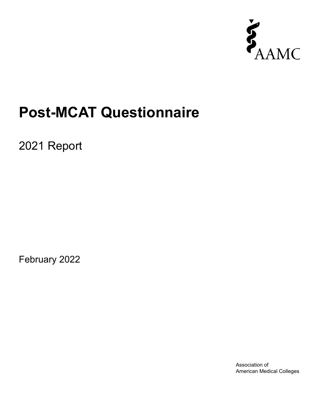

# **Post-MCAT Questionnaire**

2021 Report

February 2022

Association of American Medical Colleges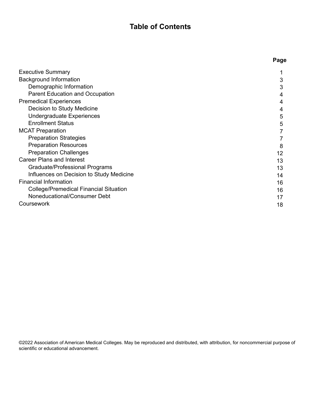## **Table of Contents**

**Page**

| <b>Executive Summary</b>                      |    |
|-----------------------------------------------|----|
| <b>Background Information</b>                 | 3  |
| Demographic Information                       | 3  |
| <b>Parent Education and Occupation</b>        | 4  |
| <b>Premedical Experiences</b>                 | 4  |
| Decision to Study Medicine                    | 4  |
| Undergraduate Experiences                     | 5  |
| <b>Enrollment Status</b>                      | 5  |
| <b>MCAT Preparation</b>                       |    |
| <b>Preparation Strategies</b>                 |    |
| <b>Preparation Resources</b>                  | 8  |
| <b>Preparation Challenges</b>                 | 12 |
| <b>Career Plans and Interest</b>              | 13 |
| Graduate/Professional Programs                | 13 |
| Influences on Decision to Study Medicine      | 14 |
| <b>Financial Information</b>                  | 16 |
| <b>College/Premedical Financial Situation</b> | 16 |
| Noneducational/Consumer Debt                  | 17 |
| Coursework                                    | 18 |
|                                               |    |

©2022 Association of American Medical Colleges. May be reproduced and distributed, with attribution, for noncommercial purpose of scientific or educational advancement.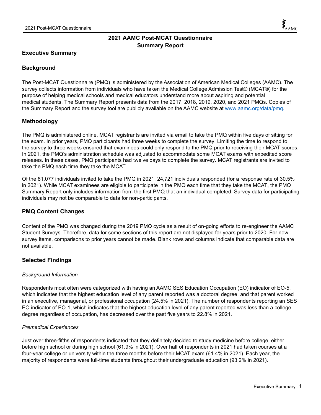## **2021 AAMC Post-MCAT Questionnaire Summary Report**

## **Executive Summary**

## **Background**

The Post-MCAT Questionnaire (PMQ) is administered by the Association of American Medical Colleges (AAMC). The survey collects information from individuals who have taken the Medical College Admission Test® (MCAT®) for the purpose of helping medical schools and medical educators understand more about aspiring and potential medical students. The Summary Report presents data from the 2017, 2018, 2019, 2020, and 2021 PMQs. Copies of the Summary Report and the survey tool are publicly available on the AAMC website at www.aamc.org/data/pmq.

## **Methodology**

The PMQ is administered online. MCAT registrants are invited via email to take the PMQ within five days of sitting for the exam. In prior years, PMQ participants had three weeks to complete the survey. Limiting the time to respond to the survey to three weeks ensured that examinees could only respond to the PMQ prior to receiving their MCAT scores. In 2021, the PMQ's administration schedule was adjusted to accommodate some MCAT exams with expedited score releases. In these cases, PMQ participants had twelve days to complete the survey. MCAT registrants are invited to take the PMQ each time they take the MCAT.

Of the 81,077 individuals invited to take the PMQ in 2021, 24,721 individuals responded (for a response rate of 30.5% in 2021). While MCAT examinees are eligible to participate in the PMQ each time that they take the MCAT, the PMQ Summary Report only includes information from the first PMQ that an individual completed. Survey data for participating individuals may not be comparable to data for non-participants.

## **PMQ Content Changes**

Content of the PMQ was changed during the 2019 PMQ cycle as a result of on-going efforts to re-engineer the AAMC Student Surveys. Therefore, data for some sections of this report are not displayed for years prior to 2020. For new survey items, comparisons to prior years cannot be made. Blank rows and columns indicate that comparable data are not available.

## **Selected Findings**

## *Background Information*

Respondents most often were categorized with having an AAMC SES Education Occupation (EO) indicator of EO-5, which indicates that the highest education level of any parent reported was a doctoral degree, and that parent worked in an executive, managerial, or professional occupation (24.5% in 2021). The number of respondents reporting an SES EO indicator of EO-1, which indicates that the highest education level of any parent reported was less than a college degree regardless of occupation, has decreased over the past five years to 22.8% in 2021.

## *Premedical Experiences*

Just over three-fifths of respondents indicated that they definitely decided to study medicine before college, either before high school or during high school (61.9% in 2021). Over half of respondents in 2021 had taken courses at a four-year college or university within the three months before their MCAT exam (61.4% in 2021). Each year, the majority of respondents were full-time students throughout their undergraduate education (93.2% in 2021).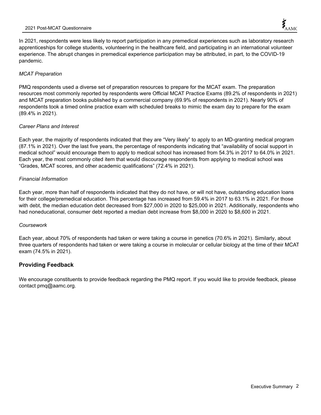In 2021, respondents were less likely to report participation in any premedical experiences such as laboratory research apprenticeships for college students, volunteering in the healthcare field, and participating in an international volunteer experience. The abrupt changes in premedical experience participation may be attributed, in part, to the COVID-19 pandemic.

#### *MCAT Preparation*

PMQ respondents used a diverse set of preparation resources to prepare for the MCAT exam. The preparation resources most commonly reported by respondents were Official MCAT Practice Exams (89.2% of respondents in 2021) and MCAT preparation books published by a commercial company (69.9% of respondents in 2021). Nearly 90% of respondents took a timed online practice exam with scheduled breaks to mimic the exam day to prepare for the exam (89.4% in 2021).

#### *Career Plans and Interest*

Each year, the majority of respondents indicated that they are "Very likely" to apply to an MD-granting medical program (87.1% in 2021). Over the last five years, the percentage of respondents indicating that "availability of social support in medical school" would encourage them to apply to medical school has increased from 54.3% in 2017 to 64.0% in 2021. Each year, the most commonly cited item that would discourage respondents from applying to medical school was "Grades, MCAT scores, and other academic qualifications" (72.4% in 2021).

#### *Financial Information*

Each year, more than half of respondents indicated that they do not have, or will not have, outstanding education loans for their college/premedical education. This percentage has increased from 59.4% in 2017 to 63.1% in 2021. For those with debt, the median education debt decreased from \$27,000 in 2020 to \$25,000 in 2021. Additionally, respondents who had noneducational, consumer debt reported a median debt increase from \$8,000 in 2020 to \$8,600 in 2021.

#### *Coursework*

Each year, about 70% of respondents had taken or were taking a course in genetics (70.6% in 2021). Similarly, about three quarters of respondents had taken or were taking a course in molecular or cellular biology at the time of their MCAT exam (74.5% in 2021).

## **Providing Feedback**

We encourage constituents to provide feedback regarding the PMQ report. If you would like to provide feedback, please contact pmq@aamc.org.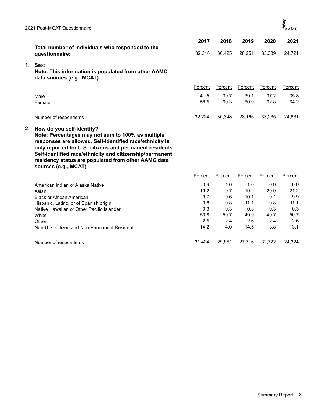|    |                                                                                                                                                                                                                                                                                                                                                    | 2017         | 2018         | 2019         | 2020         | 2021         |
|----|----------------------------------------------------------------------------------------------------------------------------------------------------------------------------------------------------------------------------------------------------------------------------------------------------------------------------------------------------|--------------|--------------|--------------|--------------|--------------|
|    | Total number of individuals who responded to the                                                                                                                                                                                                                                                                                                   |              |              |              |              |              |
|    | questionnaire:                                                                                                                                                                                                                                                                                                                                     | 32,316       | 30,425       | 28,251       | 33,339       | 24,721       |
| 1. | Sex:<br>Note: This information is populated from other AAMC<br>data sources (e.g., MCAT).                                                                                                                                                                                                                                                          |              |              |              |              |              |
|    |                                                                                                                                                                                                                                                                                                                                                    | Percent      | Percent      | Percent      | Percent      | Percent      |
|    | Male<br>Female                                                                                                                                                                                                                                                                                                                                     | 41.5<br>58.5 | 39.7<br>60.3 | 39.1<br>60.9 | 37.2<br>62.8 | 35.8<br>64.2 |
|    | Number of respondents                                                                                                                                                                                                                                                                                                                              | 32,224       | 30,348       | 28,166       | 33,235       | 24,631       |
| 2. | How do you self-identify?<br>Note: Percentages may not sum to 100% as multiple<br>responses are allowed. Self-identified race/ethnicity is<br>only reported for U.S. citizens and permanent residents.<br>Self-identified race/ethnicity and citizenship/permanent<br>residency status are populated from other AAMC data<br>sources (e.g., MCAT). |              |              |              |              |              |
|    |                                                                                                                                                                                                                                                                                                                                                    | Percent      | Percent      | Percent      | Percent      | Percent      |
|    | American Indian or Alaska Native                                                                                                                                                                                                                                                                                                                   | 0.9          | 1.0          | 1.0          | 0.9          | 0.9          |
|    | Asian                                                                                                                                                                                                                                                                                                                                              | 19.2         | 19.7         | 19.2         | 20.9         | 21.2         |
|    | <b>Black or African American</b>                                                                                                                                                                                                                                                                                                                   | 9.7          | 9.6          | 10.1         | 10.1         | 9.9          |
|    | Hispanic, Latino, or of Spanish origin                                                                                                                                                                                                                                                                                                             | 9.8          | 10.8         | 11.1         | 10.8         | 11.1         |
|    | Native Hawaiian or Other Pacific Islander                                                                                                                                                                                                                                                                                                          | 0.3          | 0.3          | 0.3          | 0.3          | 0.3          |
|    | White                                                                                                                                                                                                                                                                                                                                              | 50.8         | 50.7         | 49.9         | 49.7         | 50.7         |
|    | Other                                                                                                                                                                                                                                                                                                                                              | 2.5          | 2.4          | 2.6          | 2.4          | 2.6          |
|    | Non-U.S. Citizen and Non-Permanent Resident                                                                                                                                                                                                                                                                                                        | 14.2         | 14.0         | 14.5         | 13.8         | 13.1         |
|    | Number of respondents                                                                                                                                                                                                                                                                                                                              | 31.404       | 29,851       | 27,716       | 32,722       | 24,324       |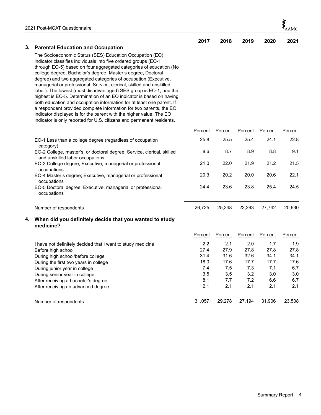|    |                                                                                                                                           | 2017       | 2018       | 2019           | 2020       | 2021       |
|----|-------------------------------------------------------------------------------------------------------------------------------------------|------------|------------|----------------|------------|------------|
| 3. | <b>Parental Education and Occupation</b>                                                                                                  |            |            |                |            |            |
|    | The Socioeconomic Status (SES) Education Occupation (EO)                                                                                  |            |            |                |            |            |
|    | indicator classifies individuals into five ordered groups (EO-1                                                                           |            |            |                |            |            |
|    | through EO-5) based on four aggregated categories of education (No<br>college degree, Bachelor's degree, Master's degree, Doctoral        |            |            |                |            |            |
|    | degree) and two aggregated categories of occupation (Executive,                                                                           |            |            |                |            |            |
|    | managerial or professional; Service, clerical, skilled and unskilled                                                                      |            |            |                |            |            |
|    | labor). The lowest (most disadvantaged) SES group is EO-1, and the                                                                        |            |            |                |            |            |
|    | highest is EO-5. Determination of an EO indicator is based on having                                                                      |            |            |                |            |            |
|    | both education and occupation information for at least one parent. If                                                                     |            |            |                |            |            |
|    | a respondent provided complete information for two parents, the EO<br>indicator displayed is for the parent with the higher value. The EO |            |            |                |            |            |
|    | indicator is only reported for U.S. citizens and permanent residents.                                                                     |            |            |                |            |            |
|    |                                                                                                                                           | Percent    | Percent    | <b>Percent</b> | Percent    | Percent    |
|    | EO-1 Less than a college degree (regardless of occupation                                                                                 | 25.8       | 25.5       | 25.4           | 24.1       | 22.8       |
|    | category)                                                                                                                                 |            |            |                |            |            |
|    | EO-2 College, master's, or doctoral degree; Service, clerical, skilled<br>and unskilled labor occupations                                 | 8.6        | 8.7        | 8.9            | 8.8        | 9.1        |
|    | EO-3 College degree; Executive, managerial or professional                                                                                | 21.0       | 22.0       | 21.9           | 21.2       | 21.5       |
|    | occupations                                                                                                                               |            |            |                |            |            |
|    | EO-4 Master's degree; Executive, managerial or professional                                                                               | 20.3       | 20.2       | 20.0           | 20.6       | 22.1       |
|    | occupations<br>EO-5 Doctoral degree; Executive, managerial or professional                                                                | 24.4       | 23.6       | 23.8           | 25.4       | 24.5       |
|    | occupations                                                                                                                               |            |            |                |            |            |
|    | Number of respondents                                                                                                                     | 26,725     | 25,248     | 23,263         | 27,742     | 20,630     |
|    |                                                                                                                                           |            |            |                |            |            |
| 4. | When did you definitely decide that you wanted to study<br>medicine?                                                                      |            |            |                |            |            |
|    |                                                                                                                                           | Percent    | Percent    | Percent        | Percent    | Percent    |
|    | I have not definitely decided that I want to study medicine                                                                               | 2.2        | 2.1        | 2.0            | 1.7        | 1.9        |
|    | Before high school                                                                                                                        | 27.4       | 27.9       | 27.8           | 27.8       | 27.8       |
|    | During high school/before college                                                                                                         | 31.4       | 31.6       | 32.6           | 34.1       | 34.1       |
|    | During the first two years in college                                                                                                     | 18.0       | 17.6       | 17.7           | 17.7       | 17.6       |
|    | During junior year in college                                                                                                             | 7.4        | 7.5        | 7.3            | 7.1        | 6.7        |
|    | During senior year in college                                                                                                             | 3.5        | 3.5        | 3.2            | 3.0        | 3.0        |
|    | After receiving a bachelor's degree                                                                                                       | 8.1<br>2.1 | 7.7<br>2.1 | 7.2<br>2.1     | 6.6<br>2.1 | 6.7<br>2.1 |
|    | After receiving an advanced degree                                                                                                        |            |            |                |            |            |
|    | Number of respondents                                                                                                                     | 31,057     | 29,278     | 27,194         | 31,906     | 23,508     |

 $\boldsymbol{\xi}_{\text{AMC}}$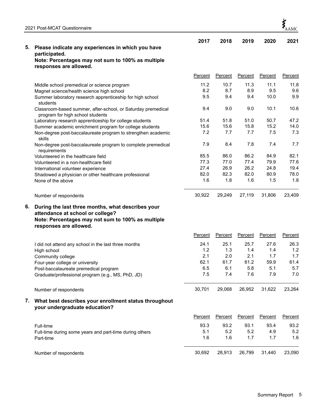|    | 2021 Post-MCAT Questionnaire                                                                     |                |                |                |             | $\sum_{\text{AAMC}}$ |
|----|--------------------------------------------------------------------------------------------------|----------------|----------------|----------------|-------------|----------------------|
| 5. | Please indicate any experiences in which you have                                                | 2017           | 2018           | 2019           | 2020        | 2021                 |
|    | participated.                                                                                    |                |                |                |             |                      |
|    | Note: Percentages may not sum to 100% as multiple<br>responses are allowed.                      |                |                |                |             |                      |
|    |                                                                                                  |                |                |                |             |                      |
|    |                                                                                                  | Percent        | Percent        | Percent        | Percent     | <b>Percent</b>       |
|    | Middle school premedical or science program                                                      | 11.2           | 10.7           | 11.3           | 11.1        | 11.8                 |
|    | Magnet science/health science high school                                                        | 8.2            | 8.7            | 8.9            | 9.5         | 9.6                  |
|    | Summer laboratory research apprenticeship for high school<br>students                            | 9.5            | 9.4            | 9.4            | 10.0        | 9.9                  |
|    | Classroom-based summer, after-school, or Saturday premedical<br>program for high school students | 9.4            | 9.0            | 9.0            | 10.1        | 10.6                 |
|    | Laboratory research apprenticeship for college students                                          | 51.4           | 51.8           | 51.0           | 50.7        | 47.2                 |
|    | Summer academic enrichment program for college students                                          | 15.6           | 15.6           | 15.8           | 15.2        | 14.0                 |
|    | Non-degree post-baccalaureate program to strengthen academic<br>skills                           | 7.2            | 7.7            | 7.7            | 7.5         | 7.3                  |
|    | Non-degree post-baccalaureate program to complete premedical<br>requirements                     | 7.9            | 8.4            | 7.8            | 7.4         | 7.7                  |
|    | Volunteered in the healthcare field                                                              | 85.5           | 86.0           | 86.2           | 84.9        | 82.1                 |
|    | Volunteered in a non-healthcare field                                                            | 77.3           | 77.0           | 77.4           | 79.9        | 77.6                 |
|    | International volunteer experience                                                               | 27.4           | 26.9           | 26.2           | 24.8        | 19.4                 |
|    | Shadowed a physician or other healthcare professional<br>None of the above                       | 82.0<br>1.6    | 82.3<br>1.8    | 82.0<br>1.6    | 80.9<br>1.5 | 78.0<br>1.8          |
|    | Number of respondents                                                                            | 30,922         | 29,249         | 27,119         | 31,806      | 23,409               |
| 6. | During the last three months, what describes your<br>attendance at school or college?            |                |                |                |             |                      |
|    | Note: Percentages may not sum to 100% as multiple<br>responses are allowed.                      |                |                |                |             |                      |
|    |                                                                                                  | Percent        | Percent        | Percent        | Percent     | Percent              |
|    | I did not attend any school in the last three months                                             | 24.1           | 25.1           | 25.7           | 27.6        | 26.3                 |
|    | High school                                                                                      | 1.2            | 1.3            | 1.4            | 1.4         | 1.2                  |
|    | Community college                                                                                | 2.1            | 2.0            | 2.1            | 1.7         | 1.7                  |
|    | Four-year college or university                                                                  | 62.1           | 61.7           | 61.2           | 59.9        | 61.4                 |
|    | Post-baccalaureate premedical program                                                            | 6.5            | 6.1            | 5.8            | 5.1         | 5.7                  |
|    | Graduate/professional program (e.g., MS, PhD, JD)                                                | 7.5            | 7.4            | 7.6            | 7.9         | 7.0                  |
|    | Number of respondents                                                                            | 30,701         | 29,068         | 26,952         | 31,622      | 23,264               |
| 7. | What best describes your enrollment status throughout<br>your undergraduate education?           |                |                |                |             |                      |
|    |                                                                                                  | <b>Percent</b> | <b>Percent</b> | <b>Percent</b> | Percent     | Percent              |
|    | Full-time                                                                                        | 93.3           | 93.2           | 93.1           | 93.4        | 93.2                 |
|    | Full-time during some years and part-time during others                                          | 5.1            | 5.2            | 5.2            | 4.9         | 5.2                  |
|    | Part-time                                                                                        | 1.6            | 1.6            | 1.7            | 1.7         | 1.6                  |
|    | Number of respondents                                                                            | 30,692         | 28,913         | 26,799         | 31,440      | 23,090               |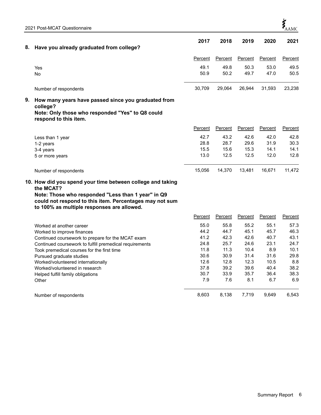| 8. | Have you already graduated from college?                                                                                                                                                                                                                                                                                                                               | 2017                                                                        | 2018                                                                        | 2019                                                                        | 2020                                                                       | 2021                                                                       |
|----|------------------------------------------------------------------------------------------------------------------------------------------------------------------------------------------------------------------------------------------------------------------------------------------------------------------------------------------------------------------------|-----------------------------------------------------------------------------|-----------------------------------------------------------------------------|-----------------------------------------------------------------------------|----------------------------------------------------------------------------|----------------------------------------------------------------------------|
|    |                                                                                                                                                                                                                                                                                                                                                                        | Percent                                                                     | Percent                                                                     | Percent                                                                     | Percent                                                                    | Percent                                                                    |
|    | Yes<br><b>No</b>                                                                                                                                                                                                                                                                                                                                                       | 49.1<br>50.9                                                                | 49.8<br>50.2                                                                | 50.3<br>49.7                                                                | 53.0<br>47.0                                                               | 49.5<br>50.5                                                               |
|    | Number of respondents                                                                                                                                                                                                                                                                                                                                                  | 30,709                                                                      | 29,064                                                                      | 26,944                                                                      | 31,593                                                                     | 23,238                                                                     |
| 9. | How many years have passed since you graduated from<br>college?<br>Note: Only those who responded "Yes" to Q8 could<br>respond to this item.                                                                                                                                                                                                                           |                                                                             |                                                                             |                                                                             |                                                                            |                                                                            |
|    |                                                                                                                                                                                                                                                                                                                                                                        | Percent                                                                     | Percent                                                                     | Percent                                                                     | <b>Percent</b>                                                             | Percent                                                                    |
|    | Less than 1 year<br>1-2 years<br>3-4 years<br>5 or more years                                                                                                                                                                                                                                                                                                          | 42.7<br>28.8<br>15.5<br>13.0                                                | 43.2<br>28.7<br>15.6<br>12.5                                                | 42.6<br>29.6<br>15.3<br>12.5                                                | 42.0<br>31.9<br>14.1<br>12.0                                               | 42.8<br>30.3<br>14.1<br>12.8                                               |
|    | Number of respondents                                                                                                                                                                                                                                                                                                                                                  | 15,056                                                                      | 14,370                                                                      | 13,481                                                                      | 16,671                                                                     | 11,472                                                                     |
|    | 10. How did you spend your time between college and taking<br>the MCAT?<br>Note: Those who responded "Less than 1 year" in Q9<br>could not respond to this item. Percentages may not sum<br>to 100% as multiple responses are allowed.                                                                                                                                 |                                                                             |                                                                             |                                                                             |                                                                            |                                                                            |
|    |                                                                                                                                                                                                                                                                                                                                                                        | Percent                                                                     | Percent                                                                     | Percent                                                                     | Percent                                                                    | Percent                                                                    |
|    | Worked at another career<br>Worked to improve finances<br>Continued coursework to prepare for the MCAT exam<br>Continued coursework to fulfill premedical requirements<br>Took premedical courses for the first time<br>Pursued graduate studies<br>Worked/volunteered internationally<br>Worked/volunteered in research<br>Helped fulfill family obligations<br>Other | 55.0<br>44.2<br>41.2<br>24.8<br>11.8<br>30.6<br>12.6<br>37.8<br>30.7<br>7.9 | 55.8<br>44.7<br>42.3<br>25.7<br>11.3<br>30.9<br>12.8<br>39.2<br>33.9<br>7.6 | 55.2<br>45.1<br>42.6<br>24.6<br>10.4<br>31.4<br>12.3<br>39.6<br>35.7<br>8.1 | 55.1<br>45.7<br>40.7<br>23.1<br>8.9<br>31.6<br>10.5<br>40.4<br>36.4<br>6.7 | 57.3<br>46.3<br>43.1<br>24.7<br>10.1<br>29.8<br>8.8<br>38.2<br>38.3<br>6.9 |
|    | Number of respondents                                                                                                                                                                                                                                                                                                                                                  | 8,603                                                                       | 8,138                                                                       | 7,719                                                                       | 9,649                                                                      | 6,543                                                                      |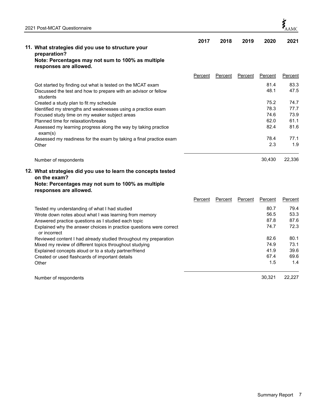| 2021 Post-MCAT Questionnaire                                                        |         |         |         |         | $\sum_{\Delta\Delta\text{MC}}$ |
|-------------------------------------------------------------------------------------|---------|---------|---------|---------|--------------------------------|
|                                                                                     | 2017    | 2018    | 2019    | 2020    | 2021                           |
| 11. What strategies did you use to structure your                                   |         |         |         |         |                                |
| preparation?                                                                        |         |         |         |         |                                |
| Note: Percentages may not sum to 100% as multiple<br>responses are allowed.         |         |         |         |         |                                |
|                                                                                     | Percent | Percent | Percent | Percent | Percent                        |
| Got started by finding out what is tested on the MCAT exam                          |         |         |         | 81.4    | 83.3                           |
| Discussed the test and how to prepare with an advisor or fellow<br>students         |         |         |         | 48.1    | 47.5                           |
| Created a study plan to fit my schedule                                             |         |         |         | 75.2    | 74.7                           |
| Identified my strengths and weaknesses using a practice exam                        |         |         |         | 78.3    | 77.7                           |
| Focused study time on my weaker subject areas                                       |         |         |         | 74.6    | 73.9                           |
| Planned time for relaxation/breaks                                                  |         |         |         | 62.0    | 61.1                           |
| Assessed my learning progress along the way by taking practice<br>exam(s)           |         |         |         | 82.4    | 81.6                           |
| Assessed my readiness for the exam by taking a final practice exam                  |         |         |         | 78.4    | 77.1                           |
| Other                                                                               |         |         |         | 2.3     | 1.9                            |
| Number of respondents                                                               |         |         |         | 30,430  | 22,336                         |
| 12. What strategies did you use to learn the concepts tested                        |         |         |         |         |                                |
| on the exam?                                                                        |         |         |         |         |                                |
| Note: Percentages may not sum to 100% as multiple<br>responses are allowed.         |         |         |         |         |                                |
|                                                                                     | Percent | Percent | Percent | Percent | Percent                        |
| Tested my understanding of what I had studied                                       |         |         |         | 80.7    | 79.4                           |
| Wrote down notes about what I was learning from memory                              |         |         |         | 56.5    | 53.3                           |
| Answered practice questions as I studied each topic                                 |         |         |         | 87.8    | 87.6                           |
| Explained why the answer choices in practice questions were correct<br>or incorrect |         |         |         | 74.7    | 72.3                           |
| Reviewed content I had already studied throughout my preparation                    |         |         |         | 82.6    | 80.1                           |
| Mixed my review of different topics throughout studying                             |         |         |         | 74.9    | 73.1                           |
| Explained concepts aloud or to a study partner/friend                               |         |         |         | 41.9    | 39.6                           |
| Created or used flashcards of important details                                     |         |         |         | 67.4    | 69.6                           |
| Other                                                                               |         |         |         | 1.5     | 1.4                            |

Number of respondents 30,321 22,227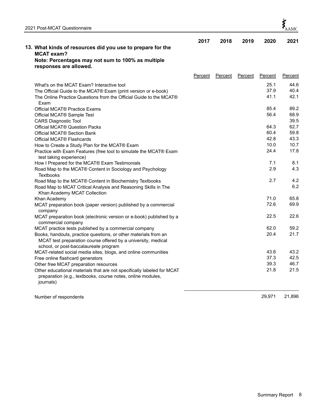|                                                                                                                                                                           | 2017    | 2018    | 2019    | 2020    | 2021    |
|---------------------------------------------------------------------------------------------------------------------------------------------------------------------------|---------|---------|---------|---------|---------|
| 13. What kinds of resources did you use to prepare for the                                                                                                                |         |         |         |         |         |
| <b>MCAT exam?</b>                                                                                                                                                         |         |         |         |         |         |
| Note: Percentages may not sum to 100% as multiple<br>responses are allowed.                                                                                               |         |         |         |         |         |
|                                                                                                                                                                           | Percent | Percent | Percent | Percent | Percent |
| What's on the MCAT Exam? Interactive tool                                                                                                                                 |         |         |         | 25.1    | 44.6    |
| The Official Guide to the MCAT® Exam (print version or e-book)                                                                                                            |         |         |         | 37.9    | 40.4    |
| The Online Practice Questions from the Official Guide to the MCAT®<br>Exam                                                                                                |         |         |         | 41.1    | 42.1    |
| Official MCAT <sup>®</sup> Practice Exams                                                                                                                                 |         |         |         | 85.4    | 89.2    |
| Official MCAT <sup>®</sup> Sample Test                                                                                                                                    |         |         |         | 56.4    | 68.9    |
| <b>CARS Diagnostic Tool</b>                                                                                                                                               |         |         |         |         | 39.5    |
| Official MCAT® Question Packs                                                                                                                                             |         |         |         | 64.3    | 62.7    |
| Official MCAT <sup>®</sup> Section Bank                                                                                                                                   |         |         |         | 60.4    | 59.8    |
| Official MCAT <sup>®</sup> Flashcards                                                                                                                                     |         |         |         | 42.8    | 43.3    |
| How to Create a Study Plan for the MCAT® Exam                                                                                                                             |         |         |         | 10.0    | 10.7    |
| Practice with Exam Features (free tool to simulate the MCAT® Exam<br>test taking experience)                                                                              |         |         |         | 24.4    | 17.8    |
| How I Prepared for the MCAT® Exam Testimonials                                                                                                                            |         |         |         | 7.1     | 8.1     |
| Road Map to the MCAT® Content in Sociology and Psychology<br><b>Textbooks</b>                                                                                             |         |         |         | 2.9     | 4.3     |
| Road Map to the MCAT® Content in Biochemistry Textbooks                                                                                                                   |         |         |         | 2.7     | 4.2     |
| Road Map to MCAT Critical Analysis and Reasoning Skills in The<br>Khan Academy MCAT Collection                                                                            |         |         |         |         | 6.2     |
| Khan Academy                                                                                                                                                              |         |         |         | 71.0    | 65.8    |
| MCAT preparation book (paper version) published by a commercial<br>company                                                                                                |         |         |         | 72.6    | 69.9    |
| MCAT preparation book (electronic version or e-book) published by a<br>commercial company                                                                                 |         |         |         | 22.5    | 22.6    |
| MCAT practice tests published by a commercial company                                                                                                                     |         |         |         | 62.0    | 59.2    |
| Books, handouts, practice questions, or other materials from an<br>MCAT test preparation course offered by a university, medical<br>school, or post-baccalaureate program |         |         |         | 20.4    | 21.7    |
| MCAT-related social media sites, blogs, and online communities                                                                                                            |         |         |         | 43.6    | 43.2    |
| Free online flashcard generators                                                                                                                                          |         |         |         | 37.3    | 42.5    |
| Other free MCAT preparation resources                                                                                                                                     |         |         |         | 39.3    | 46.7    |
| Other educational materials that are not specifically labeled for MCAT<br>preparation (e.g., textbooks, course notes, online modules,<br>journals)                        |         |         |         | 21.8    | 21.5    |

Number of respondents 29,971 21,896

 $\boldsymbol{\dot{\xi}}_{\text{AAMC}}$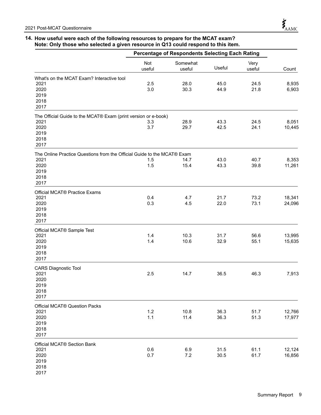#### **14. How useful were each of the following resources to prepare for the MCAT exam? Note: Only those who selected a given resource in Q13 could respond to this item.**

|                                                                                                                 |               | Percentage of Respondents Selecting Each Rating |              |                |                  |
|-----------------------------------------------------------------------------------------------------------------|---------------|-------------------------------------------------|--------------|----------------|------------------|
|                                                                                                                 | Not<br>useful | Somewhat<br>useful                              | Useful       | Very<br>useful | Count            |
| What's on the MCAT Exam? Interactive tool<br>2021<br>2020<br>2019<br>2018<br>2017                               | 2.5<br>3.0    | 28.0<br>30.3                                    | 45.0<br>44.9 | 24.5<br>21.8   | 8,935<br>6,903   |
| The Official Guide to the MCAT® Exam (print version or e-book)<br>2021<br>2020<br>2019<br>2018<br>2017          | 3.3<br>3.7    | 28.9<br>29.7                                    | 43.3<br>42.5 | 24.5<br>24.1   | 8,051<br>10,445  |
| The Online Practice Questions from the Official Guide to the MCAT® Exam<br>2021<br>2020<br>2019<br>2018<br>2017 | 1.5<br>1.5    | 14.7<br>15.4                                    | 43.0<br>43.3 | 40.7<br>39.8   | 8,353<br>11,261  |
| Official MCAT® Practice Exams<br>2021<br>2020<br>2019<br>2018<br>2017                                           | 0.4<br>0.3    | 4.7<br>4.5                                      | 21.7<br>22.0 | 73.2<br>73.1   | 18,341<br>24,096 |
| Official MCAT® Sample Test<br>2021<br>2020<br>2019<br>2018<br>2017                                              | 1.4<br>1.4    | 10.3<br>10.6                                    | 31.7<br>32.9 | 56.6<br>55.1   | 13,995<br>15,635 |
| <b>CARS Diagnostic Tool</b><br>2021<br>2020<br>2019<br>2018<br>2017                                             | 2.5           | 14.7                                            | 36.5         | 46.3           | 7,913            |
| Official MCAT® Question Packs<br>2021<br>2020<br>2019<br>2018<br>2017                                           | 1.2<br>1.1    | 10.8<br>11.4                                    | 36.3<br>36.3 | 51.7<br>51.3   | 12,766<br>17,977 |
| Official MCAT® Section Bank<br>2021<br>2020<br>2019<br>2018<br>2017                                             | 0.6<br>0.7    | 6.9<br>7.2                                      | 31.5<br>30.5 | 61.1<br>61.7   | 12,124<br>16,856 |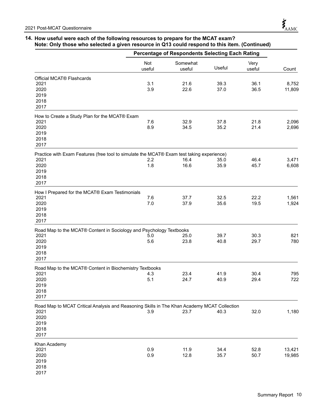### **14. How useful were each of the following resources to prepare for the MCAT exam? Note: Only those who selected a given resource in Q13 could respond to this item. (Continued)**

|                                                                                                                                     |               | Percentage of Respondents Selecting Each Rating |              |                |                  |
|-------------------------------------------------------------------------------------------------------------------------------------|---------------|-------------------------------------------------|--------------|----------------|------------------|
|                                                                                                                                     | Not<br>useful | Somewhat<br>useful                              | Useful       | Very<br>useful | Count            |
| Official MCAT <sup>®</sup> Flashcards<br>2021<br>2020<br>2019<br>2018<br>2017                                                       | 3.1<br>3.9    | 21.6<br>22.6                                    | 39.3<br>37.0 | 36.1<br>36.5   | 8,752<br>11,809  |
| How to Create a Study Plan for the MCAT® Exam<br>2021<br>2020<br>2019<br>2018<br>2017                                               | 7.6<br>8.9    | 32.9<br>34.5                                    | 37.8<br>35.2 | 21.8<br>21.4   | 2,096<br>2,696   |
| Practice with Exam Features (free tool to simulate the MCAT® Exam test taking experience)<br>2021<br>2020<br>2019<br>2018<br>2017   | 2.2<br>1.8    | 16.4<br>16.6                                    | 35.0<br>35.9 | 46.4<br>45.7   | 3,471<br>6,608   |
| How I Prepared for the MCAT® Exam Testimonials<br>2021<br>2020<br>2019<br>2018<br>2017                                              | 7.6<br>7.0    | 37.7<br>37.9                                    | 32.5<br>35.6 | 22.2<br>19.5   | 1,561<br>1,924   |
| Road Map to the MCAT® Content in Sociology and Psychology Textbooks<br>2021<br>2020<br>2019<br>2018<br>2017                         | 5.0<br>5.6    | 25.0<br>23.8                                    | 39.7<br>40.8 | 30.3<br>29.7   | 821<br>780       |
| Road Map to the MCAT® Content in Biochemistry Textbooks<br>2021<br>2020<br>2019<br>2018<br>2017                                     | 4.3<br>5.1    | 23.4<br>24.7                                    | 41.9<br>40.9 | 30.4<br>29.4   | 795<br>722       |
| Road Map to MCAT Critical Analysis and Reasoning Skills in The Khan Academy MCAT Collection<br>2021<br>2020<br>2019<br>2018<br>2017 | 3.9           | 23.7                                            | 40.3         | 32.0           | 1,180            |
| Khan Academy<br>2021<br>2020<br>2019<br>2018<br>2017                                                                                | 0.9<br>0.9    | 11.9<br>12.8                                    | 34.4<br>35.7 | 52.8<br>50.7   | 13,421<br>19,985 |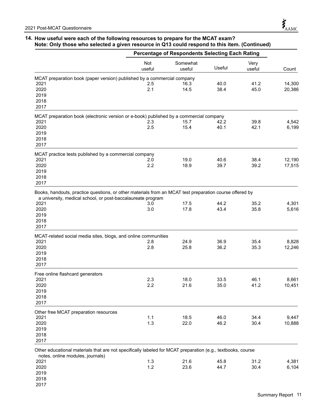2018 2017

## **14. How useful were each of the following resources to prepare for the MCAT exam? Note: Only those who selected a given resource in Q13 could respond to this item. (Continued)**

|                                                                                                                                                                        |                      | Percentage of Respondents Selecting Each Rating |               |                |        |
|------------------------------------------------------------------------------------------------------------------------------------------------------------------------|----------------------|-------------------------------------------------|---------------|----------------|--------|
|                                                                                                                                                                        | <b>Not</b><br>useful | Somewhat<br>useful                              | <b>Useful</b> | Very<br>useful | Count  |
| MCAT preparation book (paper version) published by a commercial company                                                                                                |                      |                                                 |               |                |        |
| 2021                                                                                                                                                                   | 2.5                  | 16.3                                            | 40.0          | 41.2           | 14,300 |
| 2020                                                                                                                                                                   | 2.1                  | 14.5                                            | 38.4          | 45.0           | 20,386 |
| 2019                                                                                                                                                                   |                      |                                                 |               |                |        |
| 2018                                                                                                                                                                   |                      |                                                 |               |                |        |
|                                                                                                                                                                        |                      |                                                 |               |                |        |
| 2017                                                                                                                                                                   |                      |                                                 |               |                |        |
| MCAT preparation book (electronic version or e-book) published by a commercial company                                                                                 |                      |                                                 |               |                |        |
| 2021                                                                                                                                                                   | 2.3                  | 15.7                                            | 42.2          | 39.8           | 4,542  |
| 2020                                                                                                                                                                   | 2.5                  | 15.4                                            | 40.1          | 42.1           | 6,199  |
| 2019                                                                                                                                                                   |                      |                                                 |               |                |        |
| 2018                                                                                                                                                                   |                      |                                                 |               |                |        |
| 2017                                                                                                                                                                   |                      |                                                 |               |                |        |
| MCAT practice tests published by a commercial company                                                                                                                  |                      |                                                 |               |                |        |
| 2021                                                                                                                                                                   | 2.0                  | 19.0                                            | 40.6          | 38.4           | 12,190 |
| 2020                                                                                                                                                                   | 2.2                  | 18.9                                            | 39.7          | 39.2           | 17,515 |
| 2019                                                                                                                                                                   |                      |                                                 |               |                |        |
|                                                                                                                                                                        |                      |                                                 |               |                |        |
| 2018                                                                                                                                                                   |                      |                                                 |               |                |        |
| 2017                                                                                                                                                                   |                      |                                                 |               |                |        |
| Books, handouts, practice questions, or other materials from an MCAT test preparation course offered by<br>a university, medical school, or post-baccalaureate program |                      |                                                 |               |                |        |
| 2021                                                                                                                                                                   | 3.0                  | 17.5                                            | 44.2          | 35.2           | 4,301  |
| 2020                                                                                                                                                                   | 3.0                  | 17.8                                            | 43.4          | 35.8           | 5,616  |
| 2019                                                                                                                                                                   |                      |                                                 |               |                |        |
| 2018                                                                                                                                                                   |                      |                                                 |               |                |        |
| 2017                                                                                                                                                                   |                      |                                                 |               |                |        |
|                                                                                                                                                                        |                      |                                                 |               |                |        |
| MCAT-related social media sites, blogs, and online communities<br>2021                                                                                                 | 2.8                  | 24.9                                            |               | 35.4           |        |
|                                                                                                                                                                        |                      |                                                 | 36.9          |                | 8,828  |
| 2020                                                                                                                                                                   | 2.8                  | 25.8                                            | 36.2          | 35.3           | 12,246 |
| 2019                                                                                                                                                                   |                      |                                                 |               |                |        |
| 2018                                                                                                                                                                   |                      |                                                 |               |                |        |
| 2017                                                                                                                                                                   |                      |                                                 |               |                |        |
| Free online flashcard generators                                                                                                                                       |                      |                                                 |               |                |        |
| 2021                                                                                                                                                                   | 2.3                  | 18.0                                            | 33.5          | 46.1           | 8,661  |
| 2020                                                                                                                                                                   | 2.2                  | 21.6                                            | 35.0          | 41.2           | 10,451 |
|                                                                                                                                                                        |                      |                                                 |               |                |        |
| 2019                                                                                                                                                                   |                      |                                                 |               |                |        |
| 2018                                                                                                                                                                   |                      |                                                 |               |                |        |
| 2017                                                                                                                                                                   |                      |                                                 |               |                |        |
| Other free MCAT preparation resources                                                                                                                                  |                      |                                                 |               |                |        |
| 2021                                                                                                                                                                   | 1.1                  | 18.5                                            | 46.0          | 34.4           | 9,447  |
| 2020                                                                                                                                                                   | 1.3                  | 22.0                                            | 46.2          | 30.4           | 10,888 |
| 2019                                                                                                                                                                   |                      |                                                 |               |                |        |
| 2018                                                                                                                                                                   |                      |                                                 |               |                |        |
| 2017                                                                                                                                                                   |                      |                                                 |               |                |        |
|                                                                                                                                                                        |                      |                                                 |               |                |        |
| Other educational materials that are not specifically labeled for MCAT preparation (e.g., textbooks, course                                                            |                      |                                                 |               |                |        |
| notes, online modules, journals)<br>2021                                                                                                                               | 1.3                  | 21.6                                            | 45.8          | 31.2           | 4,381  |
| 2020                                                                                                                                                                   | 1.2                  | 23.6                                            | 44.7          | 30.4           |        |
|                                                                                                                                                                        |                      |                                                 |               |                | 6,104  |
| 2019                                                                                                                                                                   |                      |                                                 |               |                |        |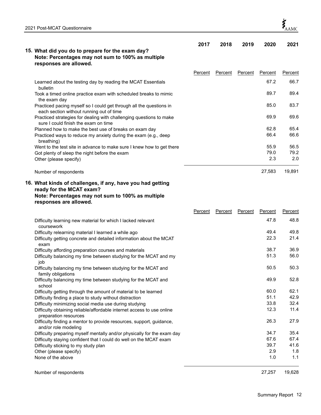

| 15. What did you do to prepare for the exam day?<br>Note: Percentages may not sum to 100% as multiple<br>responses are allowed.                                       | 2017    | 2018    | 2019    | 2020    | 2021    |
|-----------------------------------------------------------------------------------------------------------------------------------------------------------------------|---------|---------|---------|---------|---------|
|                                                                                                                                                                       | Percent | Percent | Percent | Percent | Percent |
| Learned about the testing day by reading the MCAT Essentials<br>bulletin                                                                                              |         |         |         | 67.2    | 66.7    |
| Took a timed online practice exam with scheduled breaks to mimic<br>the exam day                                                                                      |         |         |         | 89.7    | 89.4    |
| Practiced pacing myself so I could get through all the questions in<br>each section without running out of time                                                       |         |         |         | 85.0    | 83.7    |
| Practiced strategies for dealing with challenging questions to make<br>sure I could finish the exam on time                                                           |         |         |         | 69.9    | 69.6    |
| Planned how to make the best use of breaks on exam day                                                                                                                |         |         |         | 62.8    | 65.4    |
| Practiced ways to reduce my anxiety during the exam (e.g., deep<br>breathing)                                                                                         |         |         |         | 66.4    | 66.6    |
| Went to the test site in advance to make sure I knew how to get there                                                                                                 |         |         |         | 55.9    | 56.5    |
| Got plenty of sleep the night before the exam                                                                                                                         |         |         |         | 79.0    | 79.2    |
| Other (please specify)                                                                                                                                                |         |         |         | 2.3     | 2.0     |
| Number of respondents                                                                                                                                                 |         |         |         | 27,583  | 19,891  |
| 16. What kinds of challenges, if any, have you had getting<br>ready for the MCAT exam?<br>Note: Percentages may not sum to 100% as multiple<br>responses are allowed. |         |         |         |         |         |
|                                                                                                                                                                       | Percent | Percent | Percent | Percent | Percent |
| Difficulty learning new material for which I lacked relevant<br>coursework                                                                                            |         |         |         | 47.8    | 48.8    |
| Difficulty relearning material I learned a while ago                                                                                                                  |         |         |         | 49.4    | 49.8    |
| Difficulty getting concrete and detailed information about the MCAT<br>exam                                                                                           |         |         |         | 22.3    | 21.4    |
| Difficulty affording preparation courses and materials                                                                                                                |         |         |         | 38.7    | 36.9    |
| Difficulty balancing my time between studying for the MCAT and my<br>job                                                                                              |         |         |         | 51.3    | 56.0    |
| Difficulty balancing my time between studying for the MCAT and<br>family obligations                                                                                  |         |         |         | 50.5    | 50.3    |
| Difficulty balancing my time between studying for the MCAT and<br>school                                                                                              |         |         |         | 49.9    | 52.8    |
| Difficulty getting through the amount of material to be learned                                                                                                       |         |         |         | 60.0    | 62.1    |
| Difficulty finding a place to study without distraction                                                                                                               |         |         |         | 51.1    | 42.9    |
| Difficulty minimizing social media use during studying                                                                                                                |         |         |         | 33.8    | 32.4    |
| Difficulty obtaining reliable/affordable internet access to use online<br>preparation resources                                                                       |         |         |         | 12.3    | 11.4    |
| Difficulty finding a mentor to provide resources, support, guidance,<br>and/or role modeling                                                                          |         |         |         | 26.3    | 27.9    |
| Difficulty preparing myself mentally and/or physically for the exam day                                                                                               |         |         |         | 34.7    | 35.4    |
| Difficulty staying confident that I could do well on the MCAT exam                                                                                                    |         |         |         | 67.6    | 67.4    |
| Difficulty sticking to my study plan                                                                                                                                  |         |         |         | 39.7    | 41.6    |
| Other (please specify)                                                                                                                                                |         |         |         | 2.9     | 1.8     |
| None of the above                                                                                                                                                     |         |         |         | 1.0     | 1.1     |

Number of respondents 27,257 19,628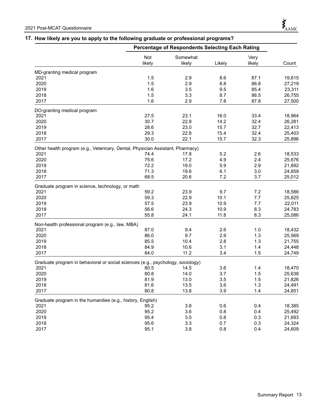## **17. How likely are you to apply to the following graduate or professional programs?**

|                                                                                 |        | Percentage of Respondents Selecting Each Rating |        |        |        |
|---------------------------------------------------------------------------------|--------|-------------------------------------------------|--------|--------|--------|
|                                                                                 | Not    | Somewhat                                        |        | Very   |        |
|                                                                                 | likely | likely                                          | Likely | likely | Count  |
| MD-granting medical program                                                     |        |                                                 |        |        |        |
| 2021                                                                            | 1.5    | 2.9                                             | 8.6    | 87.1   | 19,615 |
| 2020                                                                            | 1.5    | 2.9                                             | 8.8    | 86.8   | 27,219 |
| 2019                                                                            | 1.6    | 3.5                                             | 9.5    | 85.4   | 23,311 |
| 2018                                                                            | 1.5    | 3.3                                             | 8.7    | 86.5   | 26,755 |
| 2017                                                                            | 1.6    | 2.9                                             | 7.8    | 87.8   | 27,500 |
| DO-granting medical program                                                     |        |                                                 |        |        |        |
| 2021                                                                            | 27.5   | 23.1                                            | 16.0   | 33.4   | 18,964 |
| 2020                                                                            | 30.7   | 22.8                                            | 14.2   | 32.4   | 26,281 |
| 2019                                                                            | 28.6   | 23.0                                            | 15.7   | 32.7   | 22,413 |
| 2018                                                                            | 29.3   | 22.8                                            | 15.4   | 32.4   | 25,403 |
| 2017                                                                            | 30.0   | 22.1                                            | 15.7   | 32.3   | 25,896 |
| Other health program (e.g., Veterinary, Dental, Physician Assistant, Pharmacy)  |        |                                                 |        |        |        |
| 2021                                                                            | 74.4   | 17.8                                            | 5.2    | 2.6    | 18,533 |
| 2020                                                                            | 75.6   | 17.2                                            | 4.9    | 2.4    | 25,676 |
| 2019                                                                            | 72.2   | 19.0                                            | 5.9    | 2.9    | 21,892 |
| 2018                                                                            | 71.3   | 19.6                                            | 6.1    | 3.0    | 24,659 |
| 2017                                                                            | 68.5   | 20.6                                            | 7.2    | 3.7    | 25,012 |
| Graduate program in science, technology, or math                                |        |                                                 |        |        |        |
| 2021                                                                            | 59.2   | 23.9                                            | 9.7    | 7.2    | 18,586 |
| 2020                                                                            | 59.3   | 22.9                                            | 10.1   | 7.7    | 25,825 |
| 2019                                                                            | 57.5   | 23.9                                            | 10.9   | 7.7    | 22,011 |
| 2018                                                                            | 56.6   | 24.3                                            | 10.9   | 8.3    | 24,783 |
| 2017                                                                            | 55.8   | 24.1                                            | 11.8   | 8.3    | 25,086 |
| Non-health professional program (e.g., law, MBA)                                |        |                                                 |        |        |        |
| 2021                                                                            | 87.0   | 9.4                                             | 2.6    | 1.0    | 18,432 |
| 2020                                                                            | 86.0   | 9.7                                             | 2.9    | 1.3    | 25,569 |
| 2019                                                                            | 85.5   | 10.4                                            | 2.8    | 1.3    | 21,755 |
| 2018                                                                            | 84.9   | 10.6                                            | 3.1    | 1.4    | 24,448 |
| 2017                                                                            | 84.0   | 11.2                                            | 3.4    | 1.5    | 24,749 |
| Graduate program in behavioral or social sciences (e.g., psychology, sociology) |        |                                                 |        |        |        |
| 2021                                                                            | 80.5   | 14.5                                            | 3.6    | 1.4    | 18,470 |
| 2020                                                                            | 80.8   | 14.0                                            | 3.7    | 1.5    | 25,638 |
| 2019                                                                            | 81.9   | 13.0                                            | 3.5    | 1.5    | 21,826 |
| 2018                                                                            | 81.6   | 13.5                                            | 3.6    | 1.3    | 24,491 |
| 2017                                                                            | 80.8   | 13.8                                            | 3.9    | 1.4    | 24,851 |
| Graduate program in the humanities (e.g., history, English)                     |        |                                                 |        |        |        |
| 2021                                                                            | 95.2   | 3.8                                             | 0.6    | 0.4    | 18,385 |
| 2020                                                                            | 95.2   | 3.6                                             | 0.8    | 0.4    | 25,492 |
| 2019                                                                            | 95.4   | 3.5                                             | 0.8    | 0.3    | 21,693 |
| 2018                                                                            | 95.6   | 3.3                                             | 0.7    | 0.3    | 24,324 |
| 2017                                                                            | 95.1   | 3.8                                             | 0.8    | 0.4    | 24,609 |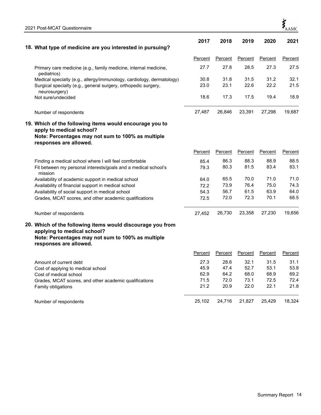| 18. What type of medicine are you interested in pursuing?                                                                                      | 2017    | 2018           | 2019           | 2020           | 2021    |
|------------------------------------------------------------------------------------------------------------------------------------------------|---------|----------------|----------------|----------------|---------|
|                                                                                                                                                |         |                |                |                |         |
|                                                                                                                                                | Percent | Percent        | Percent        | Percent        | Percent |
| Primary care medicine (e.g., family medicine, internal medicine,<br>pediatrics)                                                                | 27.7    | 27.8           | 28.5           | 27.3           | 27.5    |
| Medical specialty (e.g., allergy/immunology, cardiology, dermatology)                                                                          | 30.8    | 31.8           | 31.5           | 31.2           | 32.1    |
| Surgical specialty (e.g., general surgery, orthopedic surgery,<br>neurosurgery)                                                                | 23.0    | 23.1           | 22.6           | 22.2           | 21.5    |
| Not sure/undecided                                                                                                                             | 18.6    | 17.3           | 17.5           | 19.4           | 18.9    |
| Number of respondents                                                                                                                          | 27,487  | 26,846         | 23,391         | 27,298         | 19,687  |
| 19. Which of the following items would encourage you to<br>apply to medical school?                                                            |         |                |                |                |         |
| Note: Percentages may not sum to 100% as multiple<br>responses are allowed.                                                                    |         |                |                |                |         |
|                                                                                                                                                | Percent | <b>Percent</b> | <b>Percent</b> | <b>Percent</b> | Percent |
| Finding a medical school where I will feel comfortable                                                                                         | 85.4    | 86.3           | 88.3           | 88.9           | 88.5    |
| Fit between my personal interests/goals and a medical school's<br>mission                                                                      | 79.3    | 80.3           | 81.5           | 83.4           | 83.1    |
| Availability of academic support in medical school                                                                                             | 64.0    | 65.5           | 70.0           | 71.0           | 71.0    |
| Availability of financial support in medical school                                                                                            | 72.2    | 73.9           | 76.4           | 75.0           | 74.3    |
| Availability of social support in medical school                                                                                               | 54.3    | 56.7           | 61.5           | 63.9           | 64.0    |
| Grades, MCAT scores, and other academic qualifications                                                                                         | 72.5    | 72.0           | 72.3           | 70.1           | 68.5    |
| Number of respondents                                                                                                                          | 27,452  | 26,730         | 23,358         | 27,230         | 19,656  |
| 20. Which of the following items would discourage you from<br>applying to medical school?<br>Note: Percentages may not sum to 100% as multiple |         |                |                |                |         |
| responses are allowed.                                                                                                                         |         |                |                |                |         |
|                                                                                                                                                | Percent | Percent        | Percent        | Percent        | Percent |
| Amount of current debt                                                                                                                         | 27.3    | 28.6           | 32.1           | 31.5           | 31.1    |
| Cost of applying to medical school                                                                                                             | 45.9    | 47.4           | 52.7           | 53.1           | 53.8    |
| Cost of medical school                                                                                                                         | 62.9    | 64.2           | 68.0           | 68.9           | 69.2    |
| Grades, MCAT scores, and other academic qualifications                                                                                         | 71.5    | 72.0           | 73.1           | 72.5           | 72.4    |
| Family obligations                                                                                                                             | 21.2    | 20.9           | 22.0           | 22.1           | 21.8    |
| Number of respondents                                                                                                                          | 25,102  | 24,716         | 21,827         | 25,429         | 18,324  |

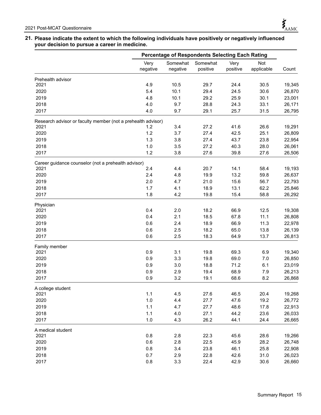## **21. Please indicate the extent to which the following individuals have positively or negatively influenced your decision to pursue a career in medicine.**

|                                                              |                  | Percentage of Respondents Selecting Each Rating |                      |                  |                   |        |
|--------------------------------------------------------------|------------------|-------------------------------------------------|----------------------|------------------|-------------------|--------|
|                                                              | Very<br>negative | Somewhat<br>negative                            | Somewhat<br>positive | Very<br>positive | Not<br>applicable | Count  |
| Prehealth advisor                                            |                  |                                                 |                      |                  |                   |        |
| 2021                                                         | 4.9              | 10.5                                            | 29.7                 | 24.4             | 30.5              | 19,345 |
| 2020                                                         | 5.4              | 10.1                                            | 29.4                 | 24.5             | 30.6              | 26,870 |
| 2019                                                         | 4.8              | 10.1                                            | 29.2                 | 25.9             | 30.1              | 23,001 |
| 2018                                                         | 4.0              | 9.7                                             | 28.8                 | 24.3             | 33.1              | 26,171 |
| 2017                                                         | 4.0              | 9.7                                             | 29.1                 | 25.7             | 31.5              | 26,795 |
| Research advisor or faculty member (not a prehealth advisor) |                  |                                                 |                      |                  |                   |        |
| 2021                                                         | 1.2              | 3.4                                             | 27.2                 | 41.6             | 26.6              | 19,291 |
| 2020                                                         | 1.2              | 3.7                                             | 27.4                 | 42.5             | 25.1              | 26,809 |
| 2019                                                         | 1.3              | 3.8                                             | 27.4                 | 43.7             | 23.8              | 22,954 |
| 2018                                                         | 1.0              | 3.5                                             | 27.2                 | 40.3             | 28.0              | 26,061 |
| 2017                                                         | 1.2              | 3.8                                             | 27.6                 | 39.8             | 27.6              | 26,506 |
| Career guidance counselor (not a prehealth advisor)          |                  |                                                 |                      |                  |                   |        |
| 2021                                                         | 2.4              | 4.4                                             | 20.7                 | 14.1             | 58.4              | 19,193 |
| 2020                                                         | 2.4              | 4.8                                             | 19.9                 | 13.2             | 59.8              | 26,637 |
| 2019                                                         | 2.0              | 4.7                                             | 21.0                 | 15.6             | 56.7              | 22,793 |
| 2018                                                         | 1.7              | 4.1                                             | 18.9                 | 13.1             | 62.2              | 25,846 |
| 2017                                                         | 1.8              | 4.2                                             | 19.8                 | 15.4             | 58.8              | 26,292 |
| Physician                                                    |                  |                                                 |                      |                  |                   |        |
| 2021                                                         | 0.4              | 2.0                                             | 18.2                 | 66.9             | 12.5              | 19,308 |
| 2020                                                         | 0.4              | 2.1                                             | 18.5                 | 67.8             | 11.1              | 26,808 |
| 2019                                                         | 0.6              | 2.4                                             | 18.9                 | 66.9             | 11.3              | 22,978 |
| 2018                                                         | 0.6              | 2.5                                             | 18.2                 | 65.0             | 13.8              | 26,139 |
| 2017                                                         | 0.6              | 2.5                                             | 18.3                 | 64.9             | 13.7              | 26,813 |
| Family member                                                |                  |                                                 |                      |                  |                   |        |
| 2021                                                         | 0.9              | 3.1                                             | 19.8                 | 69.3             | 6.9               | 19,340 |
| 2020                                                         | 0.9              | 3.3                                             | 19.8                 | 69.0             | 7.0               | 26,850 |
| 2019                                                         | 0.9              | 3.0                                             | 18.8                 | 71.2             | 6.1               | 23,019 |
| 2018                                                         | 0.9              | 2.9                                             | 19.4                 | 68.9             | 7.9               | 26,213 |
| 2017                                                         | 0.9              | 3.2                                             | 19.1                 | 68.6             | 8.2               | 26,868 |
| A college student                                            |                  |                                                 |                      |                  |                   |        |
| 2021                                                         | 1.1              | 4.5                                             | 27.6                 | 46.5             | 20.4              | 19,268 |
| 2020                                                         | 1.0              | 4.4                                             | 27.7                 | 47.6             | 19.2              | 26,772 |
| 2019                                                         | 1.1              | 4.7                                             | 27.7                 | 48.6             | 17.8              | 22,913 |
| 2018                                                         | 1.1              | 4.0                                             | 27.1                 | 44.2             | 23.6              | 26,033 |
| 2017                                                         | $1.0$            | 4.3                                             | 26.2                 | 44.1             | 24.4              | 26,665 |
| A medical student                                            |                  |                                                 |                      |                  |                   |        |
| 2021                                                         | 0.8              | 2.8                                             | 22.3                 | 45.6             | 28.6              | 19,266 |
| 2020                                                         | 0.6              | 2.8                                             | 22.5                 | 45.9             | 28.2              | 26,748 |
| 2019                                                         | 0.8              | 3.4                                             | 23.8                 | 46.1             | 25.8              | 22,908 |
| 2018                                                         | 0.7              | 2.9                                             | 22.8                 | 42.6             | 31.0              | 26,023 |
| 2017                                                         | 0.8              | 3.3                                             | 22.4                 | 42.9             | 30.6              | 26,660 |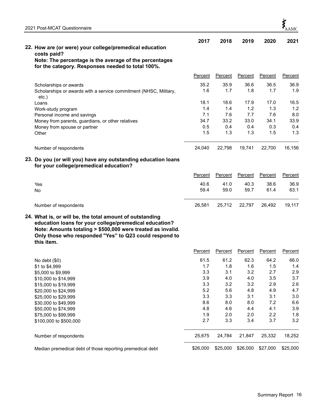| 2021 Post-MCAT Questionnaire                                                                                                                                                                                                                              |         |         |                |         |                |
|-----------------------------------------------------------------------------------------------------------------------------------------------------------------------------------------------------------------------------------------------------------|---------|---------|----------------|---------|----------------|
|                                                                                                                                                                                                                                                           | 2017    | 2018    | 2019           | 2020    | 2021           |
| 22. How are (or were) your college/premedical education                                                                                                                                                                                                   |         |         |                |         |                |
| costs paid?                                                                                                                                                                                                                                               |         |         |                |         |                |
| Note: The percentage is the average of the percentages<br>for the category. Responses needed to total 100%.                                                                                                                                               |         |         |                |         |                |
|                                                                                                                                                                                                                                                           |         |         |                |         |                |
|                                                                                                                                                                                                                                                           | Percent | Percent | <b>Percent</b> | Percent | Percent        |
| Scholarships or awards                                                                                                                                                                                                                                    | 35.2    | 35.9    | 36.6           | 36.5    | 36.9           |
| Scholarships or awards with a service commitment (NHSC, Military,                                                                                                                                                                                         | 1.6     | 1.7     | 1.8            | 1.7     | 1.9            |
| etc.)<br>Loans                                                                                                                                                                                                                                            | 18.1    | 18.6    | 17.9           | 17.0    | 16.5           |
| Work-study program                                                                                                                                                                                                                                        | 1.4     | 1.4     | 1.2            | 1.3     | 1.2            |
| Personal income and savings                                                                                                                                                                                                                               | 7.1     | 7.6     | 7.7            | 7.6     | 8.0            |
| Money from parents, guardians, or other relatives                                                                                                                                                                                                         | 34.7    | 33.2    | 33.0           | 34.1    | 33.9           |
| Money from spouse or partner                                                                                                                                                                                                                              | 0.5     | 0.4     | 0.4            | 0.3     | 0.4            |
| Other                                                                                                                                                                                                                                                     | 1.5     | 1.3     | 1.3            | 1.5     | 1.3            |
| Number of respondents                                                                                                                                                                                                                                     | 24,040  | 22,798  | 19,741         | 22,700  | 16,156         |
| 23. Do you (or will you) have any outstanding education loans<br>for your college/premedical education?                                                                                                                                                   |         |         |                |         |                |
|                                                                                                                                                                                                                                                           | Percent | Percent | Percent        | Percent | Percent        |
| Yes                                                                                                                                                                                                                                                       | 40.6    | 41.0    | 40.3           | 38.6    | 36.9           |
| No                                                                                                                                                                                                                                                        | 59.4    | 59.0    | 59.7           | 61.4    | 63.1           |
| Number of respondents                                                                                                                                                                                                                                     | 26,581  | 25,712  | 22,797         | 26,492  | 19,117         |
| 24. What is, or will be, the total amount of outstanding<br>education loans for your college/premedical education?<br>Note: Amounts totaling > \$500,000 were treated as invalid.<br>Only those who responded "Yes" to Q23 could respond to<br>this item. |         |         |                |         |                |
|                                                                                                                                                                                                                                                           | Percent | Percent | <b>Percent</b> | Percent | <b>Percent</b> |
| No debt $(\$0)$                                                                                                                                                                                                                                           | 61.5    | 61.2    | 62.3           | 64.2    | 66.0           |
| \$1 to \$4,999                                                                                                                                                                                                                                            | 1.7     | 1.8     | 1.6            | 1.5     | 1.4            |
| \$5,000 to \$9,999                                                                                                                                                                                                                                        | 3.3     | 3.1     | 3.2            | 2.7     | 2.9            |
| \$10 000 to \$14 999                                                                                                                                                                                                                                      | 3.9     | 4.0     | 4.0            | 3.5     | 3.7            |

|                                                           | Percent  | Percent  | Percent  | Percent  | Percent  |
|-----------------------------------------------------------|----------|----------|----------|----------|----------|
| No debt $(\$0)$                                           | 61.5     | 61.2     | 62.3     | 64.2     | 66.0     |
| \$1 to \$4,999                                            | 1.7      | 1.8      | 1.6      | 1.5      | 1.4      |
| \$5,000 to \$9,999                                        | 3.3      | 3.1      | 3.2      | 2.7      | 2.9      |
| \$10,000 to \$14,999                                      | 3.9      | 4.0      | 4.0      | 3.5      | 3.7      |
| \$15,000 to \$19,999                                      | 3.3      | 3.2      | 3.2      | 2.9      | 2.6      |
| \$20,000 to \$24,999                                      | 5.2      | 5.6      | 4.8      | 4.9      | 4.7      |
| \$25,000 to \$29,999                                      | 3.3      | 3.3      | 3.1      | 3.1      | 3.0      |
| \$30,000 to \$49,999                                      | 8.6      | 8.0      | 8.0      | 7.2      | 6.6      |
| \$50,000 to \$74,999                                      | 4.8      | 4.6      | 4.4      | 4.1      | 3.9      |
| \$75,000 to \$99,999                                      | 1.9      | 2.0      | 2.0      | 2.2      | 1.8      |
| \$100,000 to \$500,000                                    | 2.7      | 3.3      | 3.4      | 3.7      | 3.2      |
| Number of respondents                                     | 25,675   | 24.784   | 21,847   | 25,332   | 18,252   |
| Median premedical debt of those reporting premedical debt | \$26,000 | \$25,000 | \$26,000 | \$27,000 | \$25,000 |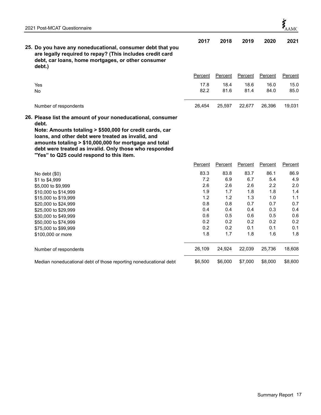

|                                                                                                                                                                                         | 2017 | 2018 | 2019 | 2020 | 2021 |
|-----------------------------------------------------------------------------------------------------------------------------------------------------------------------------------------|------|------|------|------|------|
| 25. Do you have any noneducational, consumer debt that you<br>are legally required to repay? (This includes credit card<br>debt, car loans, home mortgages, or other consumer<br>debt.) |      |      |      |      |      |

|                       | Percent |        | Percent Percent Percent |        | Percent |
|-----------------------|---------|--------|-------------------------|--------|---------|
| Yes                   | 17.8    | 18.4   | 18.6                    | 16.0   | 15.0    |
| No                    | 82.2    | 81.6   | 81.4                    | 84.0   | 85.0    |
|                       |         |        |                         |        |         |
| Number of respondents | 26.454  | 25.597 | 22.677                  | 26.396 | 19.031  |

**26. Please list the amount of your noneducational, consumer debt.**

**Note: Amounts totaling > \$500,000 for credit cards, car loans, and other debt were treated as invalid, and amounts totaling > \$10,000,000 for mortgage and total debt were treated as invalid. Only those who responded "Yes" to Q25 could respond to this item.**

|                                                                   | Percent | Percent | Percent | Percent | Percent |
|-------------------------------------------------------------------|---------|---------|---------|---------|---------|
| No debt $(\$0)$                                                   | 83.3    | 83.8    | 83.7    | 86.1    | 86.9    |
| \$1 to \$4,999                                                    | 7.2     | 6.9     | 6.7     | 5.4     | 4.9     |
| \$5,000 to \$9,999                                                | 2.6     | 2.6     | 2.6     | 2.2     | 2.0     |
| \$10,000 to \$14,999                                              | 1.9     | 1.7     | 1.8     | 1.8     | 1.4     |
| \$15,000 to \$19,999                                              | 1.2     | 1.2     | 1.3     | 1.0     | 1.1     |
| \$20,000 to \$24,999                                              | 0.8     | 0.8     | 0.7     | 0.7     | 0.7     |
| \$25,000 to \$29,999                                              | 0.4     | 0.4     | 0.4     | 0.3     | 0.4     |
| \$30,000 to \$49,999                                              | 0.6     | 0.5     | 0.6     | 0.5     | 0.6     |
| \$50,000 to \$74,999                                              | 0.2     | 0.2     | 0.2     | 0.2     | 0.2     |
| \$75,000 to \$99,999                                              | 0.2     | 0.2     | 0.1     | 0.1     | 0.1     |
| \$100,000 or more                                                 | 1.8     | 1.7     | 1.8     | 1.6     | 1.8     |
| Number of respondents                                             | 26,109  | 24.924  | 22.039  | 25,736  | 18,608  |
| Median noneducational debt of those reporting noneducational debt | \$6,500 | \$6,000 | \$7,000 | \$8,000 | \$8,600 |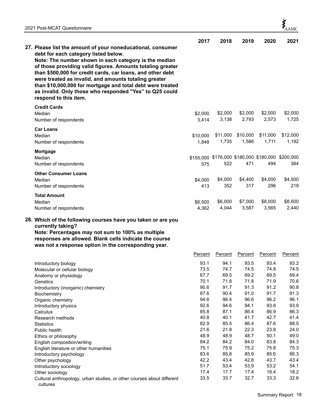English literature or other humanities

cultures

Cultural anthropology, urban studies, or other courses about different

|                                                                                                                                                                                                                                                                                                                                                                                              | 2017             | 2018             | 2019             | 2020                                              | 2021             |
|----------------------------------------------------------------------------------------------------------------------------------------------------------------------------------------------------------------------------------------------------------------------------------------------------------------------------------------------------------------------------------------------|------------------|------------------|------------------|---------------------------------------------------|------------------|
| 27. Please list the amount of your noneducational, consumer<br>debt for each category listed below.                                                                                                                                                                                                                                                                                          |                  |                  |                  |                                                   |                  |
| Note: The number shown in each category is the median<br>of those providing valid figures. Amounts totaling greater<br>than \$500,000 for credit cards, car loans, and other debt<br>were treated as invalid, and amounts totaling greater<br>than \$10,000,000 for mortgage and total debt were treated<br>as invalid. Only those who responded "Yes" to Q25 could<br>respond to this item. |                  |                  |                  |                                                   |                  |
| <b>Credit Cards</b>                                                                                                                                                                                                                                                                                                                                                                          |                  |                  |                  |                                                   |                  |
| Median<br>Number of respondents                                                                                                                                                                                                                                                                                                                                                              | \$2,000<br>3,414 | \$2,000<br>3,138 | \$2,000<br>2,793 | \$2,000<br>2,573                                  | \$2,000<br>1,725 |
| <b>Car Loans</b>                                                                                                                                                                                                                                                                                                                                                                             |                  |                  |                  |                                                   |                  |
| Median                                                                                                                                                                                                                                                                                                                                                                                       | \$10,000         | \$11,000         | \$10,000         | \$11,000                                          | \$12,000         |
| Number of respondents                                                                                                                                                                                                                                                                                                                                                                        | 1,848            | 1,735            | 1,586            | 1,711                                             | 1,192            |
|                                                                                                                                                                                                                                                                                                                                                                                              |                  |                  |                  |                                                   |                  |
| <b>Mortgage</b><br>Median                                                                                                                                                                                                                                                                                                                                                                    |                  |                  |                  | \$155,000 \$176,000 \$180,000 \$180,000 \$200,000 |                  |
| Number of respondents                                                                                                                                                                                                                                                                                                                                                                        | 575              | 522              | 471              | 494                                               | 384              |
|                                                                                                                                                                                                                                                                                                                                                                                              |                  |                  |                  |                                                   |                  |
| <b>Other Consumer Loans</b>                                                                                                                                                                                                                                                                                                                                                                  |                  | \$4,000          | \$4,400          | \$4,000                                           | \$4,500          |
| Median<br>Number of respondents                                                                                                                                                                                                                                                                                                                                                              | \$4,000<br>413   | 352              | 317              | 296                                               | 219              |
|                                                                                                                                                                                                                                                                                                                                                                                              |                  |                  |                  |                                                   |                  |
| <b>Total Amount</b>                                                                                                                                                                                                                                                                                                                                                                          |                  |                  |                  |                                                   |                  |
| Median                                                                                                                                                                                                                                                                                                                                                                                       | \$6,500          | \$6,000          | \$7,000          | \$8,000                                           | \$8,600          |
| Number of respondents                                                                                                                                                                                                                                                                                                                                                                        | 4,362            | 4,044            | 3,587            | 3,565                                             | 2,440            |
| 28. Which of the following courses have you taken or are you<br>currently taking?<br>Note: Percentages may not sum to 100% as multiple<br>responses are allowed. Blank cells indicate the course<br>was not a response option in the corresponding year.                                                                                                                                     |                  |                  |                  |                                                   |                  |
|                                                                                                                                                                                                                                                                                                                                                                                              | Percent          | Percent          | Percent          | Percent                                           | Percent          |
| Introductory biology                                                                                                                                                                                                                                                                                                                                                                         | 93.1             | 94.1             | 93.5             | 93.4                                              | 93.2             |
| Molecular or cellular biology                                                                                                                                                                                                                                                                                                                                                                | 73.5             | 74.7             | 74.5             | 74.8                                              | 74.5             |
| Anatomy or physiology                                                                                                                                                                                                                                                                                                                                                                        | 67.7             | 69.5             | 69.2             | 69.5                                              | 69.4             |
| Genetics                                                                                                                                                                                                                                                                                                                                                                                     | 70.1             | 71.8             | 71.8             | 71.9                                              | 70.6             |
| Introductory (inorganic) chemistry                                                                                                                                                                                                                                                                                                                                                           | 90.6             | 91.7             | 91.3             | 91.2                                              | 90.8             |
| Biochemistry                                                                                                                                                                                                                                                                                                                                                                                 | 87.6             | 90.4             | 91.0             | 91.7                                              | 91.3             |
| Organic chemistry                                                                                                                                                                                                                                                                                                                                                                            | 94.6             | 96.4             | 96.6             | 96.2                                              | 96.1             |
| Introductory physics                                                                                                                                                                                                                                                                                                                                                                         | 92.6             | 94.6             | 94.1             | 93.8                                              | 93.9             |
| Calculus<br>Research methods                                                                                                                                                                                                                                                                                                                                                                 | 85.8<br>40.8     | 87.1<br>40.1     | 86.4<br>41.7     | 86.9<br>42.7                                      | 86.3<br>41.4     |
| <b>Statistics</b>                                                                                                                                                                                                                                                                                                                                                                            | 82.9             | 85.5             | 86.4             | 87.6                                              | 88.5             |
| Public health                                                                                                                                                                                                                                                                                                                                                                                | 21.6             | 21.8             | 22.3             | 23.8                                              | 24.0             |
| Ethics or philosophy                                                                                                                                                                                                                                                                                                                                                                         | 48.9             | 48.9             | 48.7             | 50.1                                              | 49.0             |
|                                                                                                                                                                                                                                                                                                                                                                                              |                  |                  |                  |                                                   |                  |

English composition/writing 1.5.3 and the composition/writing the composition of the composition of the composition of the composition of the composition of the composition of the composition of the composition of the comp

Introductory psychology 10.1 and 10.1 and 10.1 and 10.1 and 10.1 and 10.1 and 10.1 and 10.1 and 10.1 and 10.1 a<br>
83.6 85.8 85.9 85.6 86.3 0ther psychology 10.1 and 10.1 and 10.1 and 10.1 and 10.1 and 10.1 and 10.1 and 10.1 Other psychology 61.1 and the psychology 61.7 and the psychology 61.7 and 42.2 43.4 42.8 43.7 43.4 42.8 43.7 43.4 42.8 43.7 43.4 42.8 54.1  $\frac{1}{100}$ Introductory sociology 51.7 53.4 53.9 53.2 54.1 17.4 17.7 17.4 18.4 18.2<br>Cultural anthropology, urban studies, or other courses about different 33.5 33.7 32.7 33.3 32.6

33.7